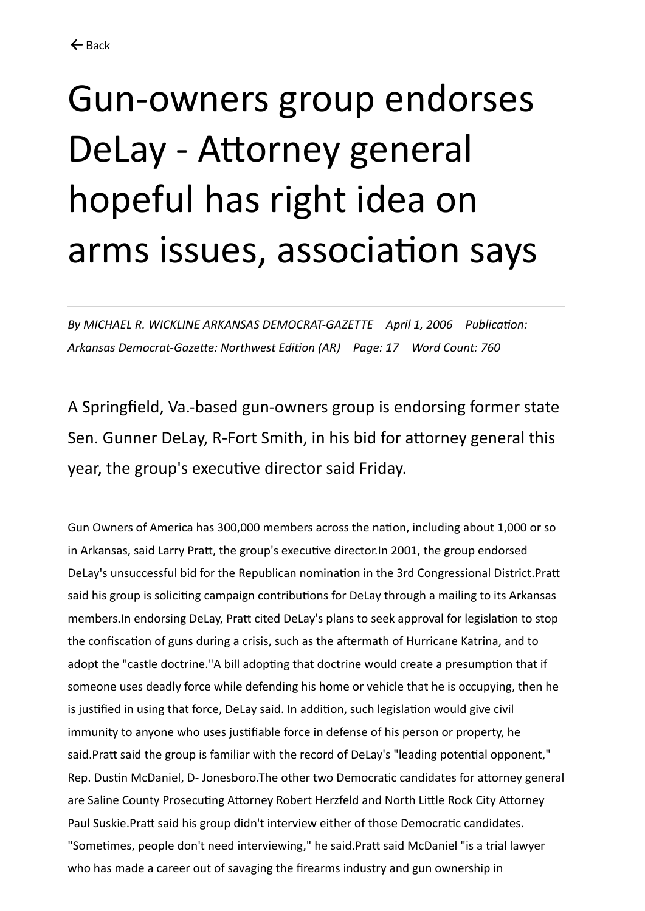## Gun-owners group endorses DeLay - Attorney general hopeful has right idea on arms issues, association says

*By MICHAEL R. WICKLINE ARKANSAS DEMOCRAT-GAZETTE April 1, 2006 Publication: Arkansas Democrat-Gazette: Northwest Edition (AR) Page: 17 Word Count: 760*

A Springfield, Va.-based gun-owners group is endorsing former state Sen. Gunner DeLay, R-Fort Smith, in his bid for attorney general this year, the group's executive director said Friday.

Gun Owners of America has 300,000 members across the nation, including about 1,000 or so in Arkansas, said Larry Pratt, the group's executive director.In 2001, the group endorsed DeLay's unsuccessful bid for the Republican nomination in the 3rd Congressional District.Pratt said his group is soliciting campaign contributions for DeLay through a mailing to its Arkansas members.In endorsing DeLay, Pratt cited DeLay's plans to seek approval for legislation to stop the confiscation of guns during a crisis, such as the aftermath of Hurricane Katrina, and to adopt the "castle doctrine."A bill adopting that doctrine would create a presumption that if someone uses deadly force while defending his home or vehicle that he is occupying, then he is justified in using that force, DeLay said. In addition, such legislation would give civil immunity to anyone who uses justifiable force in defense of his person or property, he said.Pratt said the group is familiar with the record of DeLay's "leading potential opponent," Rep. Dustin McDaniel, D- Jonesboro.The other two Democratic candidates for attorney general are Saline County Prosecuting Attorney Robert Herzfeld and North Little Rock City Attorney Paul Suskie.Pratt said his group didn't interview either of those Democratic candidates. "Sometimes, people don't need interviewing," he said.Pratt said McDaniel "is a trial lawyer who has made a career out of savaging the firearms industry and gun ownership in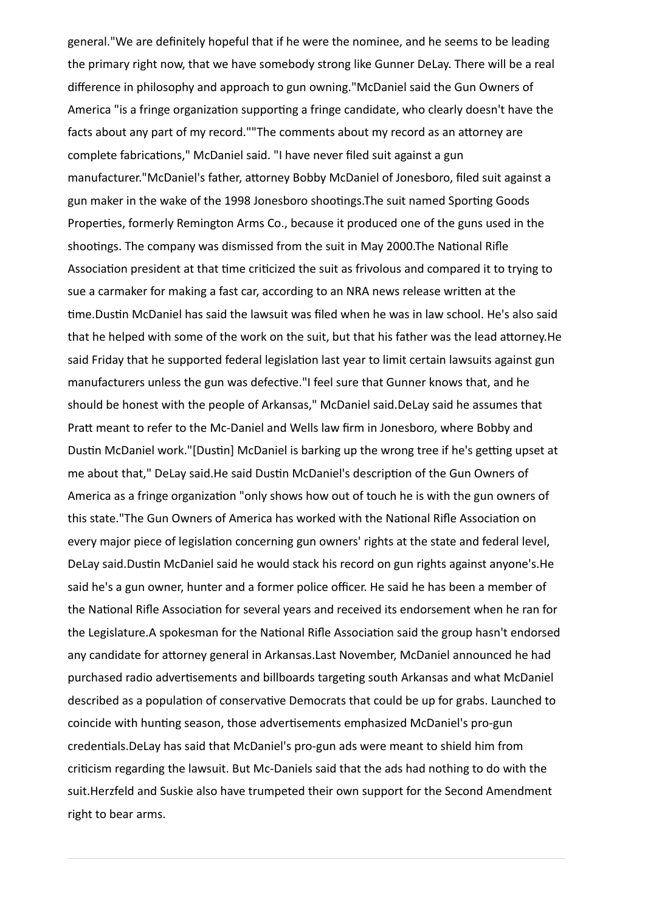general."We are definitely hopeful that if he were the nominee, and he seems to be leading the primary right now, that we have somebody strong like Gunner DeLay. There will be a real difference in philosophy and approach to gun owning."McDaniel said the Gun Owners of America "is a fringe organization supporting a fringe candidate, who clearly doesn't have the facts about any part of my record.""The comments about my record as an attorney are complete fabrications," McDaniel said. "I have never filed suit against a gun manufacturer."McDaniel's father, attorney Bobby McDaniel of Jonesboro, filed suit against a gun maker in the wake of the 1998 Jonesboro shootings.The suit named Sporting Goods Properties, formerly Remington Arms Co., because it produced one of the guns used in the shootings. The company was dismissed from the suit in May 2000.The National Rifle Association president at that time criticized the suit as frivolous and compared it to trying to sue a carmaker for making a fast car, according to an NRA news release written at the time.Dustin McDaniel has said the lawsuit was filed when he was in law school. He's also said that he helped with some of the work on the suit, but that his father was the lead attorney.He said Friday that he supported federal legislation last year to limit certain lawsuits against gun manufacturers unless the gun was defective."I feel sure that Gunner knows that, and he should be honest with the people of Arkansas," McDaniel said.DeLay said he assumes that Pratt meant to refer to the Mc-Daniel and Wells law firm in Jonesboro, where Bobby and Dustin McDaniel work."[Dustin] McDaniel is barking up the wrong tree if he's getting upset at me about that," DeLay said.He said Dustin McDaniel's description of the Gun Owners of America as a fringe organization "only shows how out of touch he is with the gun owners of this state."The Gun Owners of America has worked with the National Rifle Association on every major piece of legislation concerning gun owners' rights at the state and federal level, DeLay said.Dustin McDaniel said he would stack his record on gun rights against anyone's.He said he's a gun owner, hunter and a former police officer. He said he has been a member of the National Rifle Association for several years and received its endorsement when he ran for the Legislature.A spokesman for the National Rifle Association said the group hasn't endorsed any candidate for attorney general in Arkansas.Last November, McDaniel announced he had purchased radio advertisements and billboards targeting south Arkansas and what McDaniel described as a population of conservative Democrats that could be up for grabs. Launched to coincide with hunting season, those advertisements emphasized McDaniel's pro-gun credentials.DeLay has said that McDaniel's pro-gun ads were meant to shield him from criticism regarding the lawsuit. But Mc-Daniels said that the ads had nothing to do with the suit.Herzfeld and Suskie also have trumpeted their own support for the Second Amendment right to bear arms.